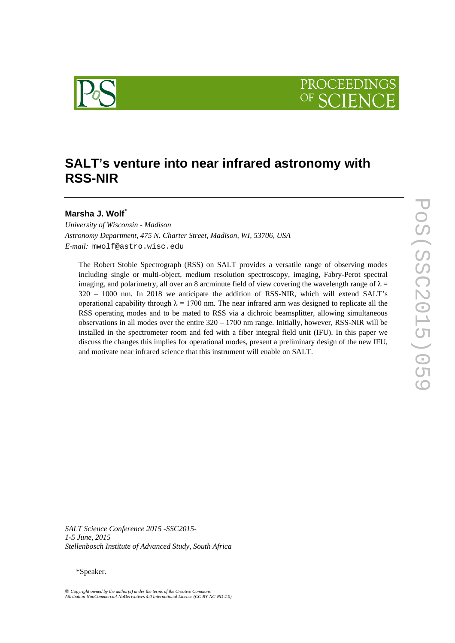

# SALT's venture into near infrared astronomy with **RSS -NIR**

# **Marsha J. Wolf[\\*](#page-0-0)**

*University of Wisconsin - Madison Astronomy Department, 475 N. Charter Street, Madison, WI, 53706, USA E-mail:* mwolf@astro.wisc.edu

The Robert Stobie Spectrograph (RSS) on SALT provides a versatile range of observing modes including single or multi -object, medium resolution spectroscopy, imaging, Fabry -Perot spectral imaging, and polarimetry, all over an 8 arcminute field of view covering the wavelength range of  $\lambda =$ 320 – 1000 nm. In 2018 we anticipate the addition of RSS -NIR, which will extend SALT's operational capability through  $\lambda = 1700$  nm. The near infrared arm was designed to replicate all the RSS operating modes and to be mated to RSS via a dichroic beamsplitter, allowing simultaneous observations in all modes over the entire 320 – 1700 nm range. Initially, however, RSS -NIR will be installed in the spectrometer room and fed with a fiber integral field unit (IFU). In this paper we discuss the changes this implies for operational modes, present a preliminary design of the new IFU, and motivate near infrared science that this instrument will enable on SALT.

*SALT Science Conference 2015 -SSC2015- 1-5 June, 2015 Stellenbosch Institute of Advanced Study, South Africa*

## \*Speaker.

<span id="page-0-0"></span> $\overline{a}$ 

*Copyright owned by the author(s) under the terms of the Creative Commons Attribution-NonCommercial-NoDerivatives 4.0 International License (CC BY-NC-ND 4.0).*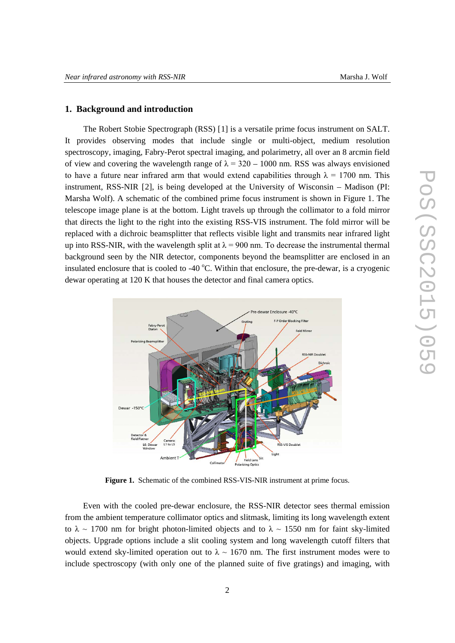### **1. Background and introduction**

The Robert Stobie Spectrograph (RSS) [[1\]](#page-7-0) is a versatile prime focus instrument on SALT. It provides observing modes that include single or multi-object, medium resolution spectroscopy, imaging, Fabry-Perot spectral imaging, and polarimetry, all over an 8 arcmin field of view and covering the wavelength range of  $\lambda = 320 - 1000$  nm. RSS was always envisioned to have a future near infrared arm that would extend capabilities through  $\lambda = 1700$  nm. This instrument, RSS-NIR [[2](#page-7-1)], is being developed at the University of Wisconsin – Madison (PI: Marsha Wolf). A schematic of the combined prime focus instrument is shown in [Figure 1.](#page-1-0) The telescope image plane is at the bottom. Light travels up through the collimator to a fold mirror that directs the light to the right into the existing RSS-VIS instrument. The fold mirror will be replaced with a dichroic beamsplitter that reflects visible light and transmits near infrared light up into RSS-NIR, with the wavelength split at  $\lambda = 900$  nm. To decrease the instrumental thermal background seen by the NIR detector, components beyond the beamsplitter are enclosed in an insulated enclosure that is cooled to -40  $^{\circ}$ C. Within that enclosure, the pre-dewar, is a cryogenic dewar operating at 120 K that houses the detector and final camera optics.



**Figure 1.** Schematic of the combined RSS-VIS-NIR instrument at prime focus.

<span id="page-1-0"></span>Even with the cooled pre-dewar enclosure, the RSS-NIR detector sees thermal emission from the ambient temperature collimator optics and slitmask, limiting its long wavelength extent to  $\lambda \sim 1700$  nm for bright photon-limited objects and to  $\lambda \sim 1550$  nm for faint sky-limited objects. Upgrade options include a slit cooling system and long wavelength cutoff filters that would extend sky-limited operation out to  $\lambda \sim 1670$  nm. The first instrument modes were to include spectroscopy (with only one of the planned suite of five gratings) and imaging, with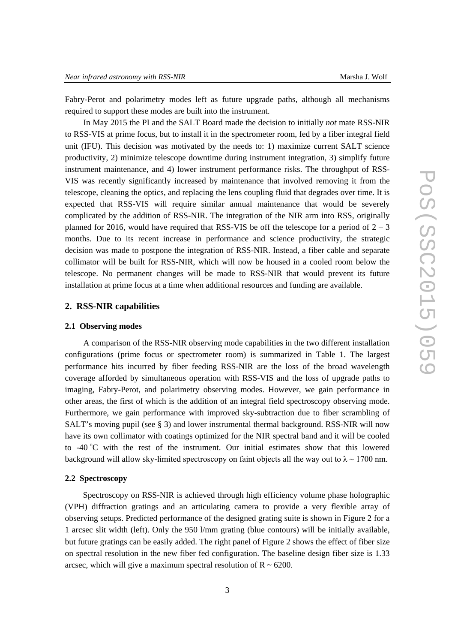Fabry-Perot and polarimetry modes left as future upgrade paths, although all mechanisms required to support these modes are built into the instrument.

In May 2015 the PI and the SALT Board made the decision to initially *not* mate RSS-NIR to RSS-VIS at prime focus, but to install it in the spectrometer room, fed by a fiber integral field unit (IFU). This decision was motivated by the needs to: 1) maximize current SALT science productivity, 2) minimize telescope downtime during instrument integration, 3) simplify future instrument maintenance, and 4) lower instrument performance risks. The throughput of RSS-VIS was recently significantly increased by maintenance that involved removing it from the telescope, cleaning the optics, and replacing the lens coupling fluid that degrades over time. It is expected that RSS-VIS will require similar annual maintenance that would be severely complicated by the addition of RSS-NIR. The integration of the NIR arm into RSS, originally planned for 2016, would have required that RSS-VIS be off the telescope for a period of  $2 - 3$ months. Due to its recent increase in performance and science productivity, the strategic decision was made to postpone the integration of RSS-NIR. Instead, a fiber cable and separate collimator will be built for RSS-NIR, which will now be housed in a cooled room below the telescope. No permanent changes will be made to RSS-NIR that would prevent its future installation at prime focus at a time when additional resources and funding are available.

# **2. RSS-NIR capabilities**

#### **2.1 Observing modes**

A comparison of the RSS-NIR observing mode capabilities in the two different installation configurations (prime focus or spectrometer room) is summarized in [Table 1.](#page-3-0) The largest performance hits incurred by fiber feeding RSS-NIR are the loss of the broad wavelength coverage afforded by simultaneous operation with RSS-VIS and the loss of upgrade paths to imaging, Fabry-Perot, and polarimetry observing modes. However, we gain performance in other areas, the first of which is the addition of an integral field spectroscopy observing mode. Furthermore, we gain performance with improved sky-subtraction due to fiber scrambling of SALT's moving pupil (see § [3\)](#page-4-0) and lower instrumental thermal background. RSS-NIR will now have its own collimator with coatings optimized for the NIR spectral band and it will be cooled to -40  $\rm{°C}$  with the rest of the instrument. Our initial estimates show that this lowered background will allow sky-limited spectroscopy on faint objects all the way out to  $\lambda \sim 1700$  nm.

#### **2.2 Spectroscopy**

Spectroscopy on RSS-NIR is achieved through high efficiency volume phase holographic (VPH) diffraction gratings and an articulating camera to provide a very flexible array of observing setups. Predicted performance of the designed grating suite is shown in [Figure 2](#page-3-1) for a 1 arcsec slit width (left). Only the 950 l/mm grating (blue contours) will be initially available, but future gratings can be easily added. The right panel of [Figure 2](#page-3-1) shows the effect of fiber size on spectral resolution in the new fiber fed configuration. The baseline design fiber size is 1.33 arcsec, which will give a maximum spectral resolution of  $R \sim 6200$ .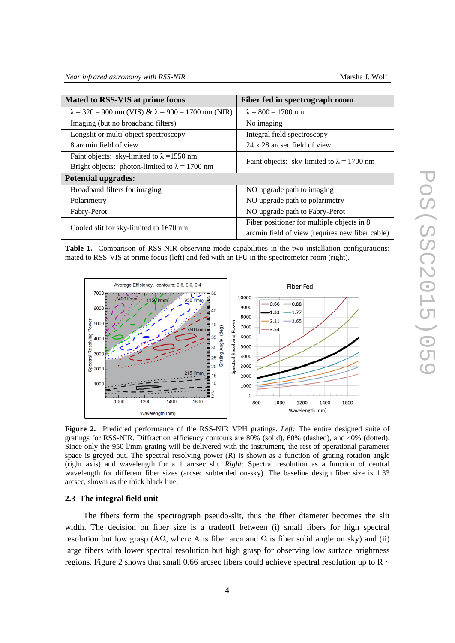| Mated to RSS-VIS at prime focus                                   | Fiber fed in spectrograph room                    |
|-------------------------------------------------------------------|---------------------------------------------------|
| $\lambda$ = 320 – 900 nm (VIS) $\& \lambda$ = 900 – 1700 nm (NIR) | $\lambda = 800 - 1700$ nm                         |
| Imaging (but no broadband filters)                                | No imaging                                        |
| Longslit or multi-object spectroscopy                             | Integral field spectroscopy                       |
| 8 arcmin field of view                                            | 24 x 28 arcsec field of view                      |
| Faint objects: sky-limited to $\lambda$ =1550 nm                  | Faint objects: sky-limited to $\lambda = 1700$ nm |
| Bright objects: photon-limited to $\lambda = 1700$ nm             |                                                   |
| <b>Potential upgrades:</b>                                        |                                                   |
| Broadband filters for imaging                                     | NO upgrade path to imaging                        |
| Polarimetry                                                       | NO upgrade path to polarimetry                    |
| Fabry-Perot                                                       | NO upgrade path to Fabry-Perot                    |
| Cooled slit for sky-limited to 1670 nm                            | Fiber positioner for multiple objects in 8        |
|                                                                   | arcmin field of view (requires new fiber cable)   |

<span id="page-3-0"></span>**Table 1.** Comparison of RSS-NIR observing mode capabilities in the two installation configurations: mated to RSS-VIS at prime focus (left) and fed with an IFU in the spectrometer room (right).



<span id="page-3-1"></span>**Figure 2.** Predicted performance of the RSS-NIR VPH gratings. *Left:* The entire designed suite of gratings for RSS-NIR. Diffraction efficiency contours are 80% (solid), 60% (dashed), and 40% (dotted). Since only the 950 l/mm grating will be delivered with the instrument, the rest of operational parameter space is greyed out. The spectral resolving power (R) is shown as a function of grating rotation angle (right axis) and wavelength for a 1 arcsec slit. *Right:* Spectral resolution as a function of central wavelength for different fiber sizes (arcsec subtended on-sky). The baseline design fiber size is 1.33 arcsec, shown as the thick black line.

#### **2.3 The integral field unit**

The fibers form the spectrograph pseudo-slit, thus the fiber diameter becomes the slit width. The decision on fiber size is a tradeoff between (i) small fibers for high spectral resolution but low grasp ( $A\Omega$ , where A is fiber area and  $\Omega$  is fiber solid angle on sky) and (ii) large fibers with lower spectral resolution but high grasp for observing low surface brightness regions. [Figure 2](#page-3-1) shows that small 0.66 arcsec fibers could achieve spectral resolution up to R  $\sim$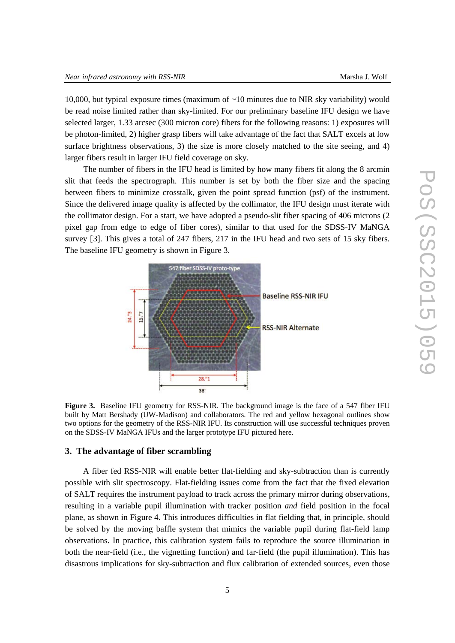10,000, but typical exposure times (maximum of ~10 minutes due to NIR sky variability) would be read noise limited rather than sky-limited. For our preliminary baseline IFU design we have selected larger, 1.33 arcsec (300 micron core) fibers for the following reasons: 1) exposures will be photon-limited, 2) higher grasp fibers will take advantage of the fact that SALT excels at low surface brightness observations, 3) the size is more closely matched to the site seeing, and 4) larger fibers result in larger IFU field coverage on sky.

The number of fibers in the IFU head is limited by how many fibers fit along the 8 arcmin slit that feeds the spectrograph. This number is set by both the fiber size and the spacing between fibers to minimize crosstalk, given the point spread function (psf) of the instrument. Since the delivered image quality is affected by the collimator, the IFU design must iterate with the collimator design. For a start, we have adopted a pseudo-slit fiber spacing of 406 microns (2 pixel gap from edge to edge of fiber cores), similar to that used for the SDSS-IV MaNGA survey [[3\]](#page-7-2). This gives a total of 247 fibers, 217 in the IFU head and two sets of 15 sky fibers. The baseline IFU geometry is shown in [Figure 3.](#page-4-1)



<span id="page-4-1"></span>Figure 3. Baseline IFU geometry for RSS-NIR. The background image is the face of a 547 fiber IFU built by Matt Bershady (UW-Madison) and collaborators. The red and yellow hexagonal outlines show two options for the geometry of the RSS-NIR IFU. Its construction will use successful techniques proven on the SDSS-IV MaNGA IFUs and the larger prototype IFU pictured here.

# <span id="page-4-0"></span>**3. The advantage of fiber scrambling**

A fiber fed RSS-NIR will enable better flat-fielding and sky-subtraction than is currently possible with slit spectroscopy. Flat-fielding issues come from the fact that the fixed elevation of SALT requires the instrument payload to track across the primary mirror during observations, resulting in a variable pupil illumination with tracker position *and* field position in the focal plane, as shown in [Figure 4.](#page-5-0) This introduces difficulties in flat fielding that, in principle, should be solved by the moving baffle system that mimics the variable pupil during flat-field lamp observations. In practice, this calibration system fails to reproduce the source illumination in both the near-field (i.e., the vignetting function) and far-field (the pupil illumination). This has disastrous implications for sky-subtraction and flux calibration of extended sources, even those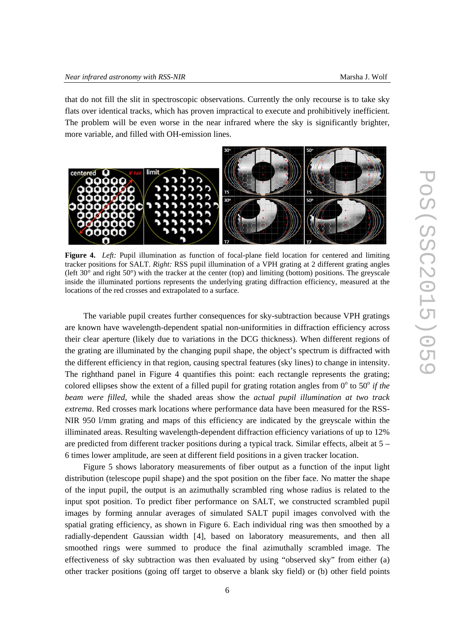that do not fill the slit in spectroscopic observations. Currently the only recourse is to take sky flats over identical tracks, which has proven impractical to execute and prohibitively inefficient. The problem will be even worse in the near infrared where the sky is significantly brighter, more variable, and filled with OH-emission lines.



<span id="page-5-0"></span>**Figure 4.** *Left:* Pupil illumination as function of focal-plane field location for centered and limiting tracker positions for SALT. *Right:* RSS pupil illumination of a VPH grating at 2 different grating angles (left 30° and right 50°) with the tracker at the center (top) and limiting (bottom) positions. The greyscale inside the illuminated portions represents the underlying grating diffraction efficiency, measured at the locations of the red crosses and extrapolated to a surface.

The variable pupil creates further consequences for sky-subtraction because VPH gratings are known have wavelength-dependent spatial non-uniformities in diffraction efficiency across their clear aperture (likely due to variations in the DCG thickness). When different regions of the grating are illuminated by the changing pupil shape, the object's spectrum is diffracted with the different efficiency in that region, causing spectral features (sky lines) to change in intensity. The righthand panel in [Figure 4](#page-5-0) quantifies this point: each rectangle represents the grating; colored ellipses show the extent of a filled pupil for grating rotation angles from  $0^{\circ}$  to 50<sup> $\circ$ </sup> *if the beam were filled*, while the shaded areas show the *actual pupil illumination at two track extrema*. Red crosses mark locations where performance data have been measured for the RSS-NIR 950 l/mm grating and maps of this efficiency are indicated by the greyscale within the illiminated areas. Resulting wavelength-dependent diffraction efficiency variations of up to 12% are predicted from different tracker positions during a typical track. Similar effects, albeit at 5 – 6 times lower amplitude, are seen at different field positions in a given tracker location.

[Figure 5](#page-6-0) shows laboratory measurements of fiber output as a function of the input light distribution (telescope pupil shape) and the spot position on the fiber face. No matter the shape of the input pupil, the output is an azimuthally scrambled ring whose radius is related to the input spot position. To predict fiber performance on SALT, we constructed scrambled pupil images by forming annular averages of simulated SALT pupil images convolved with the spatial grating efficiency, as shown in Figure 6. Each individual ring was then smoothed by a radially-dependent Gaussian width [[4](#page-7-3)], based on laboratory measurements, and then all smoothed rings were summed to produce the final azimuthally scrambled image. The effectiveness of sky subtraction was then evaluated by using "observed sky" from either (a) other tracker positions (going off target to observe a blank sky field) or (b) other field points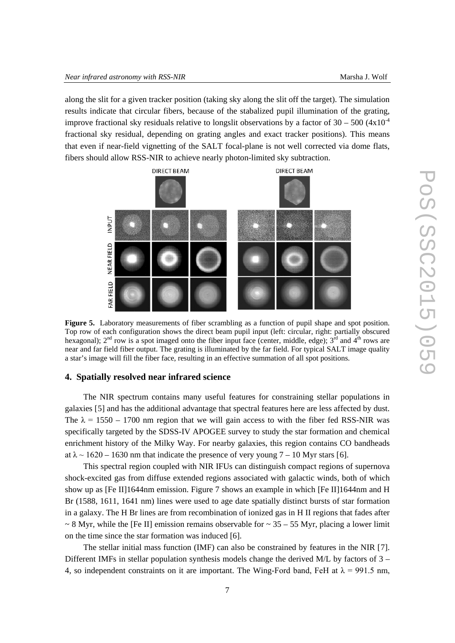along the slit for a given tracker position (taking sky along the slit off the target). The simulation results indicate that circular fibers, because of the stabalized pupil illumination of the grating, improve fractional sky residuals relative to longslit observations by a factor of  $30 - 500 (4x10^{-4})$ fractional sky residual, depending on grating angles and exact tracker positions). This means that even if near-field vignetting of the SALT focal-plane is not well corrected via dome flats, fibers should allow RSS-NIR to achieve nearly photon-limited sky subtraction.



<span id="page-6-0"></span>**Figure 5.** Laboratory measurements of fiber scrambling as a function of pupil shape and spot position. Top row of each configuration shows the direct beam pupil input (left: circular, right: partially obscured hexagonal);  $2<sup>nd</sup>$  row is a spot imaged onto the fiber input face (center, middle, edge);  $3<sup>rd</sup>$  and  $4<sup>th</sup>$  rows are near and far field fiber output. The grating is illuminated by the far field. For typical SALT image quality a star's image will fill the fiber face, resulting in an effective summation of all spot positions.

#### **4. Spatially resolved near infrared science**

The NIR spectrum contains many useful features for constraining stellar populations in galaxies [[5\]](#page-7-4) and has the additional advantage that spectral features here are less affected by dust. The  $\lambda = 1550 - 1700$  nm region that we will gain access to with the fiber fed RSS-NIR was specifically targeted by the SDSS-IV APOGEE survey to study the star formation and chemical enrichment history of the Milky Way. For nearby galaxies, this region contains CO bandheads at  $\lambda \sim 1620 - 1630$  $\lambda \sim 1620 - 1630$  $\lambda \sim 1620 - 1630$  nm that indicate the presence of very young  $7 - 10$  Myr stars [6].

<span id="page-6-1"></span>This spectral region coupled with NIR IFUs can distinguish compact regions of supernova shock-excited gas from diffuse extended regions associated with galactic winds, both of which show up as [Fe II]1644nm emission. Figure 7 shows an example in which [Fe II]1644nm and H Br (1588, 1611, 1641 nm) lines were used to age date spatially distinct bursts of star formation in a galaxy. The H Br lines are from recombination of ionized gas in H II regions that fades after  $\sim$  8 Myr, while the [Fe II] emission remains observable for  $\sim$  35 – 55 Myr, placing a lower limit on the time since the star formation was induced [\[6\]](#page-6-1).

The stellar initial mass function (IMF) can also be constrained by features in the NIR [[7](#page-7-6)]. Different IMFs in stellar population synthesis models change the derived M/L by factors of  $3 -$ 4, so independent constraints on it are important. The Wing-Ford band, FeH at  $\lambda = 991.5$  nm,